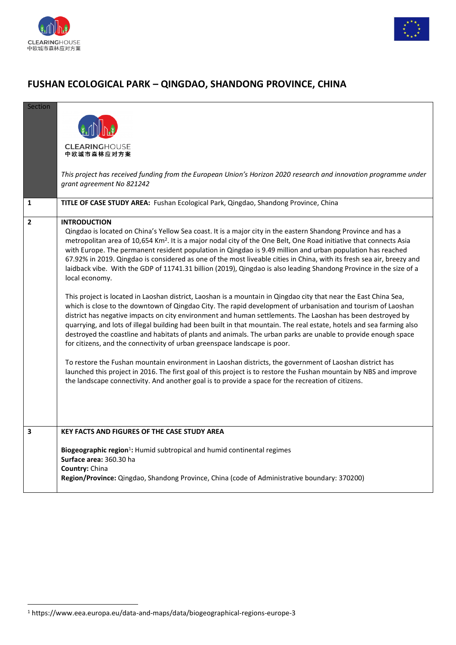



## **FUSHAN ECOLOGICAL PARK – QINGDAO, SHANDONG PROVINCE, CHINA**

| <b>Section</b> |                                                                                                                                                                                                                                              |
|----------------|----------------------------------------------------------------------------------------------------------------------------------------------------------------------------------------------------------------------------------------------|
|                |                                                                                                                                                                                                                                              |
|                |                                                                                                                                                                                                                                              |
|                | <b>CLEARINGHOUSE</b><br>中欧城市森林应对方案                                                                                                                                                                                                           |
|                |                                                                                                                                                                                                                                              |
|                | This project has received funding from the European Union's Horizon 2020 research and innovation programme under                                                                                                                             |
|                | grant agreement No 821242                                                                                                                                                                                                                    |
| 1              | TITLE OF CASE STUDY AREA: Fushan Ecological Park, Qingdao, Shandong Province, China                                                                                                                                                          |
| $\overline{2}$ | <b>INTRODUCTION</b>                                                                                                                                                                                                                          |
|                | Qingdao is located on China's Yellow Sea coast. It is a major city in the eastern Shandong Province and has a                                                                                                                                |
|                | metropolitan area of 10,654 Km <sup>2</sup> . It is a major nodal city of the One Belt, One Road initiative that connects Asia<br>with Europe. The permanent resident population in Qingdao is 9.49 million and urban population has reached |
|                | 67.92% in 2019. Qingdao is considered as one of the most liveable cities in China, with its fresh sea air, breezy and                                                                                                                        |
|                | laidback vibe. With the GDP of 11741.31 billion (2019), Qingdao is also leading Shandong Province in the size of a                                                                                                                           |
|                | local economy.                                                                                                                                                                                                                               |
|                | This project is located in Laoshan district, Laoshan is a mountain in Qingdao city that near the East China Sea,                                                                                                                             |
|                | which is close to the downtown of Qingdao City. The rapid development of urbanisation and tourism of Laoshan                                                                                                                                 |
|                | district has negative impacts on city environment and human settlements. The Laoshan has been destroyed by<br>quarrying, and lots of illegal building had been built in that mountain. The real estate, hotels and sea farming also          |
|                | destroyed the coastline and habitats of plants and animals. The urban parks are unable to provide enough space                                                                                                                               |
|                | for citizens, and the connectivity of urban greenspace landscape is poor.                                                                                                                                                                    |
|                | To restore the Fushan mountain environment in Laoshan districts, the government of Laoshan district has                                                                                                                                      |
|                | launched this project in 2016. The first goal of this project is to restore the Fushan mountain by NBS and improve                                                                                                                           |
|                | the landscape connectivity. And another goal is to provide a space for the recreation of citizens.                                                                                                                                           |
|                |                                                                                                                                                                                                                                              |
|                |                                                                                                                                                                                                                                              |
| $\mathbf{3}$   | <b>KEY FACTS AND FIGURES OF THE CASE STUDY AREA</b>                                                                                                                                                                                          |
|                |                                                                                                                                                                                                                                              |
|                | Biogeographic region <sup>1</sup> : Humid subtropical and humid continental regimes                                                                                                                                                          |
|                | Surface area: 360.30 ha<br>Country: China                                                                                                                                                                                                    |
|                | Region/Province: Qingdao, Shandong Province, China (code of Administrative boundary: 370200)                                                                                                                                                 |
|                |                                                                                                                                                                                                                                              |

<sup>1</sup> https://www.eea.europa.eu/data-and-maps/data/biogeographical-regions-europe-3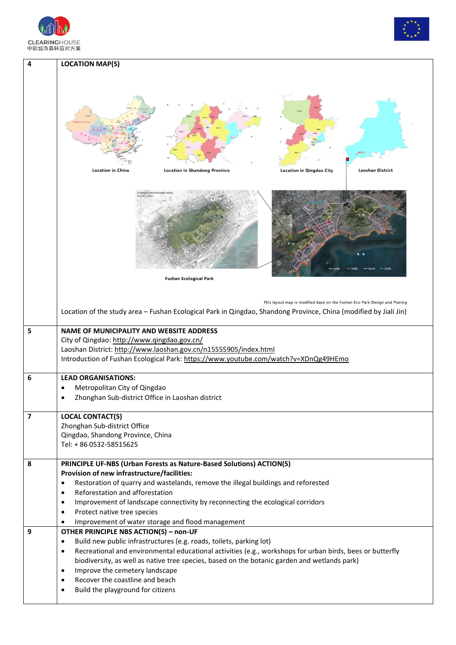



| 4                       | <b>LOCATION MAP(S)</b>                                                                                                                                                                                                                                                                                                                                                                                                                                                                                |
|-------------------------|-------------------------------------------------------------------------------------------------------------------------------------------------------------------------------------------------------------------------------------------------------------------------------------------------------------------------------------------------------------------------------------------------------------------------------------------------------------------------------------------------------|
|                         | <b>Location in China</b><br><b>Laoshan District</b><br><b>Location in Shandong Province</b><br><b>Location in Qingdao City</b>                                                                                                                                                                                                                                                                                                                                                                        |
|                         | USHAN MOUNTAIN PA                                                                                                                                                                                                                                                                                                                                                                                                                                                                                     |
|                         | <b>Fushan Ecological Park</b>                                                                                                                                                                                                                                                                                                                                                                                                                                                                         |
|                         | This layout map is modified base on the Fushan Eco-Park Design and Planing<br>Location of the study area - Fushan Ecological Park in Qingdao, Shandong Province, China (modified by Jiali Jin)                                                                                                                                                                                                                                                                                                        |
| 5                       | <b>NAME OF MUNICIPALITY AND WEBSITE ADDRESS</b><br>City of Qingdao: http://www.qingdao.gov.cn/<br>Laoshan District: http://www.laoshan.gov.cn/n15555905/index.html<br>Introduction of Fushan Ecological Park: https://www.youtube.com/watch?v=XDnQg49HEmo                                                                                                                                                                                                                                             |
| 6                       | <b>LEAD ORGANISATIONS:</b><br>Metropolitan City of Qingdao<br>Zhonghan Sub-district Office in Laoshan district                                                                                                                                                                                                                                                                                                                                                                                        |
| $\overline{\mathbf{z}}$ | <b>LOCAL CONTACT(S)</b><br>Zhonghan Sub-district Office<br>Qingdao, Shandong Province, China<br>Tel: + 86 0532-58515625                                                                                                                                                                                                                                                                                                                                                                               |
| 8                       | PRINCIPLE UF-NBS (Urban Forests as Nature-Based Solutions) ACTION(S)<br>Provision of new infrastructure/facilities:<br>Restoration of quarry and wastelands, remove the illegal buildings and reforested<br>$\bullet$<br>Reforestation and afforestation<br>$\bullet$<br>Improvement of landscape connectivity by reconnecting the ecological corridors<br>$\bullet$<br>Protect native tree species<br>$\bullet$<br>Improvement of water storage and flood management<br>$\bullet$                    |
| 9                       | OTHER PRINCIPLE NBS ACTION(S) - non-UF<br>Build new public infrastructures (e.g. roads, toilets, parking lot)<br>$\bullet$<br>Recreational and environmental educational activities (e.g., workshops for urban birds, bees or butterfly<br>$\bullet$<br>biodiversity, as well as native tree species, based on the botanic garden and wetlands park)<br>Improve the cemetery landscape<br>$\bullet$<br>Recover the coastline and beach<br>$\bullet$<br>Build the playground for citizens<br>$\bullet$ |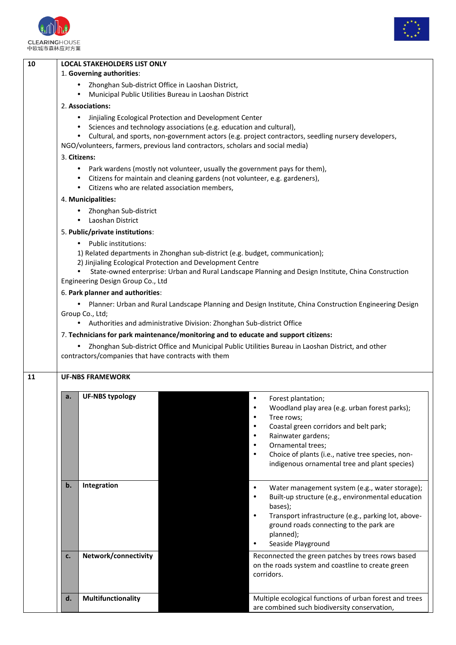



| 10 | <b>LOCAL STAKEHOLDERS LIST ONLY</b>                                                                                                                          |                                                                                                                  |  |  |  |  |  |
|----|--------------------------------------------------------------------------------------------------------------------------------------------------------------|------------------------------------------------------------------------------------------------------------------|--|--|--|--|--|
|    | 1. Governing authorities:                                                                                                                                    |                                                                                                                  |  |  |  |  |  |
|    | Zhonghan Sub-district Office in Laoshan District,<br>Municipal Public Utilities Bureau in Laoshan District                                                   |                                                                                                                  |  |  |  |  |  |
|    | 2. Associations:                                                                                                                                             |                                                                                                                  |  |  |  |  |  |
|    | Jinjialing Ecological Protection and Development Center                                                                                                      |                                                                                                                  |  |  |  |  |  |
|    | Sciences and technology associations (e.g. education and cultural),                                                                                          |                                                                                                                  |  |  |  |  |  |
|    | $\bullet$                                                                                                                                                    | Cultural, and sports, non-government actors (e.g. project contractors, seedling nursery developers,              |  |  |  |  |  |
|    | NGO/volunteers, farmers, previous land contractors, scholars and social media)                                                                               |                                                                                                                  |  |  |  |  |  |
|    | 3. Citizens:                                                                                                                                                 |                                                                                                                  |  |  |  |  |  |
|    | $\bullet$                                                                                                                                                    | Park wardens (mostly not volunteer, usually the government pays for them),                                       |  |  |  |  |  |
|    |                                                                                                                                                              | Citizens for maintain and cleaning gardens (not volunteer, e.g. gardeners),                                      |  |  |  |  |  |
|    | Citizens who are related association members,<br>$\bullet$                                                                                                   |                                                                                                                  |  |  |  |  |  |
|    | 4. Municipalities:                                                                                                                                           |                                                                                                                  |  |  |  |  |  |
|    | Zhonghan Sub-district<br>Laoshan District<br>$\bullet$                                                                                                       |                                                                                                                  |  |  |  |  |  |
|    | 5. Public/private institutions:                                                                                                                              |                                                                                                                  |  |  |  |  |  |
|    | • Public institutions:                                                                                                                                       |                                                                                                                  |  |  |  |  |  |
|    |                                                                                                                                                              | 1) Related departments in Zhonghan sub-district (e.g. budget, communication);                                    |  |  |  |  |  |
|    | 2) Jinjialing Ecological Protection and Development Centre                                                                                                   | State-owned enterprise: Urban and Rural Landscape Planning and Design Institute, China Construction              |  |  |  |  |  |
|    | Engineering Design Group Co., Ltd                                                                                                                            |                                                                                                                  |  |  |  |  |  |
|    | 6. Park planner and authorities:                                                                                                                             |                                                                                                                  |  |  |  |  |  |
|    |                                                                                                                                                              | Planner: Urban and Rural Landscape Planning and Design Institute, China Construction Engineering Design          |  |  |  |  |  |
|    | Group Co., Ltd;                                                                                                                                              |                                                                                                                  |  |  |  |  |  |
|    | Authorities and administrative Division: Zhonghan Sub-district Office<br>7. Technicians for park maintenance/monitoring and to educate and support citizens: |                                                                                                                  |  |  |  |  |  |
|    |                                                                                                                                                              |                                                                                                                  |  |  |  |  |  |
|    | Zhonghan Sub-district Office and Municipal Public Utilities Bureau in Laoshan District, and other                                                            |                                                                                                                  |  |  |  |  |  |
|    | contractors/companies that have contracts with them                                                                                                          |                                                                                                                  |  |  |  |  |  |
| 11 | <b>UF-NBS FRAMEWORK</b>                                                                                                                                      |                                                                                                                  |  |  |  |  |  |
|    | <b>UF-NBS typology</b><br>a.                                                                                                                                 | $\bullet$<br>Forest plantation;                                                                                  |  |  |  |  |  |
|    |                                                                                                                                                              | Woodland play area (e.g. urban forest parks);                                                                    |  |  |  |  |  |
|    |                                                                                                                                                              | Tree rows;                                                                                                       |  |  |  |  |  |
|    |                                                                                                                                                              | Coastal green corridors and belt park;                                                                           |  |  |  |  |  |
|    |                                                                                                                                                              | Rainwater gardens;                                                                                               |  |  |  |  |  |
|    |                                                                                                                                                              | Ornamental trees;<br>$\bullet$                                                                                   |  |  |  |  |  |
|    |                                                                                                                                                              | Choice of plants (i.e., native tree species, non-<br>indigenous ornamental tree and plant species)               |  |  |  |  |  |
|    |                                                                                                                                                              |                                                                                                                  |  |  |  |  |  |
|    | Integration<br>b.                                                                                                                                            | $\bullet$                                                                                                        |  |  |  |  |  |
|    |                                                                                                                                                              | Water management system (e.g., water storage);<br>Built-up structure (e.g., environmental education<br>$\bullet$ |  |  |  |  |  |
|    |                                                                                                                                                              | bases);                                                                                                          |  |  |  |  |  |
|    |                                                                                                                                                              | Transport infrastructure (e.g., parking lot, above-<br>$\bullet$                                                 |  |  |  |  |  |
|    |                                                                                                                                                              | ground roads connecting to the park are                                                                          |  |  |  |  |  |
|    |                                                                                                                                                              | planned);                                                                                                        |  |  |  |  |  |
|    |                                                                                                                                                              | Seaside Playground<br>$\bullet$                                                                                  |  |  |  |  |  |
|    | Network/connectivity<br>c.                                                                                                                                   | Reconnected the green patches by trees rows based                                                                |  |  |  |  |  |
|    |                                                                                                                                                              |                                                                                                                  |  |  |  |  |  |
|    |                                                                                                                                                              | on the roads system and coastline to create green                                                                |  |  |  |  |  |
|    |                                                                                                                                                              | corridors.                                                                                                       |  |  |  |  |  |
|    |                                                                                                                                                              |                                                                                                                  |  |  |  |  |  |
|    | Multifunctionality<br>d.                                                                                                                                     | Multiple ecological functions of urban forest and trees<br>are combined such biodiversity conservation,          |  |  |  |  |  |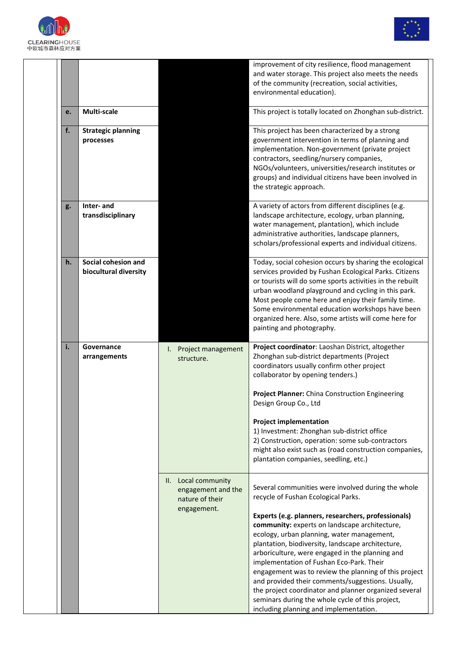



|    |                                              |                                                                             | improvement of city resilience, flood management<br>and water storage. This project also meets the needs<br>of the community (recreation, social activities,<br>environmental education).                                                                                                                                                                                                                                                                                                                                                                                                                                                                                |
|----|----------------------------------------------|-----------------------------------------------------------------------------|--------------------------------------------------------------------------------------------------------------------------------------------------------------------------------------------------------------------------------------------------------------------------------------------------------------------------------------------------------------------------------------------------------------------------------------------------------------------------------------------------------------------------------------------------------------------------------------------------------------------------------------------------------------------------|
| e. | Multi-scale                                  |                                                                             | This project is totally located on Zhonghan sub-district.                                                                                                                                                                                                                                                                                                                                                                                                                                                                                                                                                                                                                |
| f. | <b>Strategic planning</b><br>processes       |                                                                             | This project has been characterized by a strong<br>government intervention in terms of planning and<br>implementation. Non-government (private project<br>contractors, seedling/nursery companies,<br>NGOs/volunteers, universities/research institutes or<br>groups) and individual citizens have been involved in<br>the strategic approach.                                                                                                                                                                                                                                                                                                                           |
| g. | Inter- and<br>transdisciplinary              |                                                                             | A variety of actors from different disciplines (e.g.<br>landscape architecture, ecology, urban planning,<br>water management, plantation), which include<br>administrative authorities, landscape planners,<br>scholars/professional experts and individual citizens.                                                                                                                                                                                                                                                                                                                                                                                                    |
| h. | Social cohesion and<br>biocultural diversity |                                                                             | Today, social cohesion occurs by sharing the ecological<br>services provided by Fushan Ecological Parks. Citizens<br>or tourists will do some sports activities in the rebuilt<br>urban woodland playground and cycling in this park.<br>Most people come here and enjoy their family time.<br>Some environmental education workshops have been<br>organized here. Also, some artists will come here for<br>painting and photography.                                                                                                                                                                                                                                    |
| i. | Governance<br>arrangements                   | Project management<br>I.<br>structure.                                      | Project coordinator: Laoshan District, altogether<br>Zhonghan sub-district departments (Project<br>coordinators usually confirm other project<br>collaborator by opening tenders.)<br>Project Planner: China Construction Engineering<br>Design Group Co., Ltd                                                                                                                                                                                                                                                                                                                                                                                                           |
|    |                                              |                                                                             | <b>Project implementation</b><br>1) Investment: Zhonghan sub-district office<br>2) Construction, operation: some sub-contractors<br>might also exist such as (road construction companies,<br>plantation companies, seedling, etc.)                                                                                                                                                                                                                                                                                                                                                                                                                                      |
|    |                                              | II. Local community<br>engagement and the<br>nature of their<br>engagement. | Several communities were involved during the whole<br>recycle of Fushan Ecological Parks.<br>Experts (e.g. planners, researchers, professionals)<br>community: experts on landscape architecture,<br>ecology, urban planning, water management,<br>plantation, biodiversity, landscape architecture,<br>arboriculture, were engaged in the planning and<br>implementation of Fushan Eco-Park. Their<br>engagement was to review the planning of this project<br>and provided their comments/suggestions. Usually,<br>the project coordinator and planner organized several<br>seminars during the whole cycle of this project,<br>including planning and implementation. |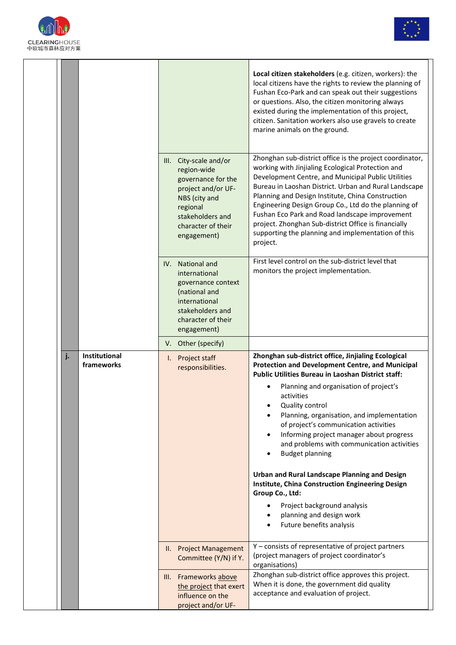



|    |                             | III. City-scale and/or<br>region-wide<br>governance for the<br>project and/or UF-                                                                  | Local citizen stakeholders (e.g. citizen, workers): the<br>local citizens have the rights to review the planning of<br>Fushan Eco-Park and can speak out their suggestions<br>or questions. Also, the citizen monitoring always<br>existed during the implementation of this project,<br>citizen. Sanitation workers also use gravels to create<br>marine animals on the ground.<br>Zhonghan sub-district office is the project coordinator,<br>working with Jinjialing Ecological Protection and<br>Development Centre, and Municipal Public Utilities<br>Bureau in Laoshan District. Urban and Rural Landscape<br>Planning and Design Institute, China Construction     |
|----|-----------------------------|----------------------------------------------------------------------------------------------------------------------------------------------------|---------------------------------------------------------------------------------------------------------------------------------------------------------------------------------------------------------------------------------------------------------------------------------------------------------------------------------------------------------------------------------------------------------------------------------------------------------------------------------------------------------------------------------------------------------------------------------------------------------------------------------------------------------------------------|
|    |                             | NBS (city and<br>regional<br>stakeholders and<br>character of their<br>engagement)                                                                 | Engineering Design Group Co., Ltd do the planning of<br>Fushan Eco Park and Road landscape improvement<br>project. Zhonghan Sub-district Office is financially<br>supporting the planning and implementation of this<br>project.                                                                                                                                                                                                                                                                                                                                                                                                                                          |
|    |                             | IV. National and<br>international<br>governance context<br>(national and<br>international<br>stakeholders and<br>character of their<br>engagement) | First level control on the sub-district level that<br>monitors the project implementation.                                                                                                                                                                                                                                                                                                                                                                                                                                                                                                                                                                                |
|    |                             | V. Other (specify)                                                                                                                                 |                                                                                                                                                                                                                                                                                                                                                                                                                                                                                                                                                                                                                                                                           |
| j. | Institutional<br>frameworks | I. Project staff<br>responsibilities.                                                                                                              | Zhonghan sub-district office, Jinjialing Ecological<br>Protection and Development Centre, and Municipal<br><b>Public Utilities Bureau in Laoshan District staff:</b><br>Planning and organisation of project's<br>activities<br>Quality control<br>Planning, organisation, and implementation<br>of project's communication activities<br>Informing project manager about progress<br>and problems with communication activities<br><b>Budget planning</b><br>Urban and Rural Landscape Planning and Design<br>Institute, China Construction Engineering Design<br>Group Co., Ltd:<br>Project background analysis<br>planning and design work<br>Future benefits analysis |
|    |                             | II. Project Management<br>Committee (Y/N) if Y.                                                                                                    | Y - consists of representative of project partners<br>(project managers of project coordinator's<br>organisations)                                                                                                                                                                                                                                                                                                                                                                                                                                                                                                                                                        |
|    |                             | III. Frameworks above<br>the project that exert<br>influence on the<br>project and/or UF-                                                          | Zhonghan sub-district office approves this project.<br>When it is done, the government did quality<br>acceptance and evaluation of project.                                                                                                                                                                                                                                                                                                                                                                                                                                                                                                                               |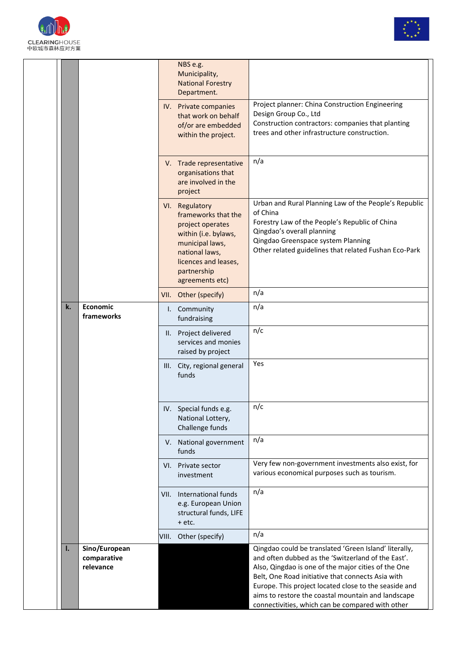



|    |                                           |      | NBS e.g.<br>Municipality,<br><b>National Forestry</b><br>Department.<br>IV. Private companies<br>that work on behalf<br>of/or are embedded<br>within the project.                | Project planner: China Construction Engineering<br>Design Group Co., Ltd<br>Construction contractors: companies that planting<br>trees and other infrastructure construction.                                                                                                                                                          |
|----|-------------------------------------------|------|----------------------------------------------------------------------------------------------------------------------------------------------------------------------------------|----------------------------------------------------------------------------------------------------------------------------------------------------------------------------------------------------------------------------------------------------------------------------------------------------------------------------------------|
|    |                                           |      | V. Trade representative<br>organisations that<br>are involved in the<br>project                                                                                                  | n/a                                                                                                                                                                                                                                                                                                                                    |
|    |                                           |      | VI. Regulatory<br>frameworks that the<br>project operates<br>within (i.e. bylaws,<br>municipal laws,<br>national laws,<br>licences and leases,<br>partnership<br>agreements etc) | Urban and Rural Planning Law of the People's Republic<br>of China<br>Forestry Law of the People's Republic of China<br>Qingdao's overall planning<br>Qingdao Greenspace system Planning<br>Other related guidelines that related Fushan Eco-Park                                                                                       |
|    |                                           |      | VII. Other (specify)                                                                                                                                                             | n/a                                                                                                                                                                                                                                                                                                                                    |
| k. | Economic<br>frameworks                    |      | I. Community<br>fundraising                                                                                                                                                      | n/a                                                                                                                                                                                                                                                                                                                                    |
|    |                                           |      | II. Project delivered<br>services and monies<br>raised by project                                                                                                                | n/c                                                                                                                                                                                                                                                                                                                                    |
|    |                                           |      | III. City, regional general<br>funds                                                                                                                                             | Yes                                                                                                                                                                                                                                                                                                                                    |
|    |                                           |      | IV. Special funds e.g.<br>National Lottery,<br>Challenge funds                                                                                                                   | n/c                                                                                                                                                                                                                                                                                                                                    |
|    |                                           |      | V. National government<br>funds                                                                                                                                                  | n/a                                                                                                                                                                                                                                                                                                                                    |
|    |                                           |      | VI. Private sector<br>investment                                                                                                                                                 | Very few non-government investments also exist, for<br>various economical purposes such as tourism.                                                                                                                                                                                                                                    |
|    |                                           | VII. | International funds<br>e.g. European Union<br>structural funds, LIFE<br>$+$ etc.                                                                                                 | n/a                                                                                                                                                                                                                                                                                                                                    |
|    |                                           |      | VIII. Other (specify)                                                                                                                                                            | n/a                                                                                                                                                                                                                                                                                                                                    |
| I. | Sino/European<br>comparative<br>relevance |      |                                                                                                                                                                                  | Qingdao could be translated 'Green Island' literally,<br>and often dubbed as the 'Switzerland of the East'.<br>Also, Qingdao is one of the major cities of the One<br>Belt, One Road initiative that connects Asia with<br>Europe. This project located close to the seaside and<br>aims to restore the coastal mountain and landscape |
|    |                                           |      |                                                                                                                                                                                  | connectivities, which can be compared with other                                                                                                                                                                                                                                                                                       |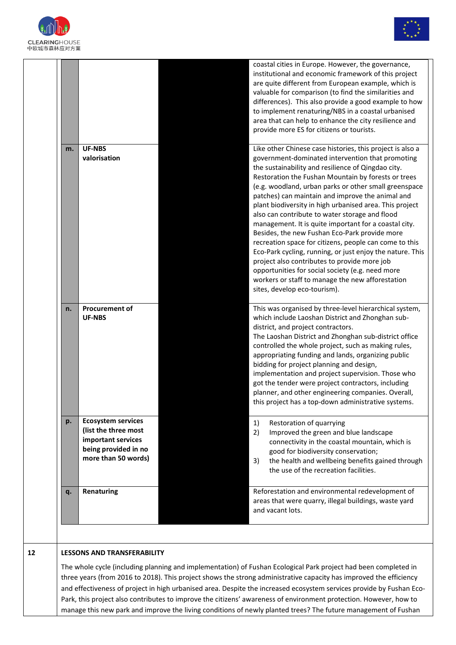



|    |                                                                                                                        | coastal cities in Europe. However, the governance,                                                                                                                                                                                                                                                                                                                                                                                                                                                                                                                                                                                                                                                                                                                                                                                                                            |
|----|------------------------------------------------------------------------------------------------------------------------|-------------------------------------------------------------------------------------------------------------------------------------------------------------------------------------------------------------------------------------------------------------------------------------------------------------------------------------------------------------------------------------------------------------------------------------------------------------------------------------------------------------------------------------------------------------------------------------------------------------------------------------------------------------------------------------------------------------------------------------------------------------------------------------------------------------------------------------------------------------------------------|
|    |                                                                                                                        | institutional and economic framework of this project<br>are quite different from European example, which is<br>valuable for comparison (to find the similarities and<br>differences). This also provide a good example to how<br>to implement renaturing/NBS in a coastal urbanised<br>area that can help to enhance the city resilience and                                                                                                                                                                                                                                                                                                                                                                                                                                                                                                                                  |
|    |                                                                                                                        | provide more ES for citizens or tourists.                                                                                                                                                                                                                                                                                                                                                                                                                                                                                                                                                                                                                                                                                                                                                                                                                                     |
| m. | <b>UF-NBS</b><br>valorisation                                                                                          | Like other Chinese case histories, this project is also a<br>government-dominated intervention that promoting<br>the sustainability and resilience of Qingdao city.<br>Restoration the Fushan Mountain by forests or trees<br>(e.g. woodland, urban parks or other small greenspace<br>patches) can maintain and improve the animal and<br>plant biodiversity in high urbanised area. This project<br>also can contribute to water storage and flood<br>management. It is quite important for a coastal city.<br>Besides, the new Fushan Eco-Park provide more<br>recreation space for citizens, people can come to this<br>Eco-Park cycling, running, or just enjoy the nature. This<br>project also contributes to provide more job<br>opportunities for social society (e.g. need more<br>workers or staff to manage the new afforestation<br>sites, develop eco-tourism). |
| n. | <b>Procurement of</b><br><b>UF-NBS</b>                                                                                 | This was organised by three-level hierarchical system,<br>which include Laoshan District and Zhonghan sub-<br>district, and project contractors.<br>The Laoshan District and Zhonghan sub-district office<br>controlled the whole project, such as making rules,<br>appropriating funding and lands, organizing public<br>bidding for project planning and design,<br>implementation and project supervision. Those who<br>got the tender were project contractors, including<br>planner, and other engineering companies. Overall,<br>this project has a top-down administrative systems.                                                                                                                                                                                                                                                                                    |
| p. | <b>Ecosystem services</b><br>(list the three most<br>important services<br>being provided in no<br>more than 50 words) | 1)<br>Restoration of quarrying<br>2)<br>Improved the green and blue landscape<br>connectivity in the coastal mountain, which is<br>good for biodiversity conservation;<br>the health and wellbeing benefits gained through<br>3)<br>the use of the recreation facilities.                                                                                                                                                                                                                                                                                                                                                                                                                                                                                                                                                                                                     |
|    | Renaturing                                                                                                             | Reforestation and environmental redevelopment of<br>areas that were quarry, illegal buildings, waste yard                                                                                                                                                                                                                                                                                                                                                                                                                                                                                                                                                                                                                                                                                                                                                                     |